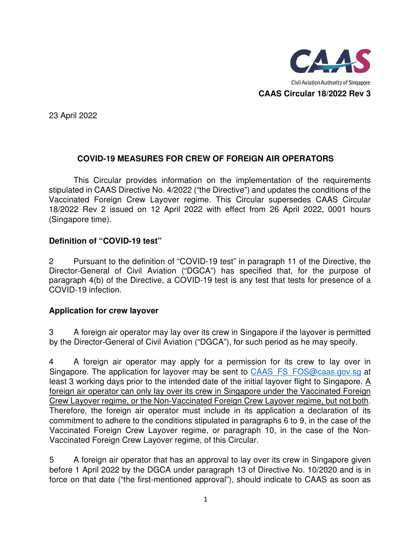

23 April 2022

# **COVID-19 MEASURES FOR CREW OF FOREIGN AIR OPERATORS**

This Circular provides information on the implementation of the requirements stipulated in CAAS Directive No. 4/2022 ("the Directive") and updates the conditions of the Vaccinated Foreign Crew Layover regime. This Circular supersedes CAAS Circular 18/2022 Rev 2 issued on 12 April 2022 with effect from 26 April 2022, 0001 hours (Singapore time).

## **Definition of "COVID-19 test"**

2 Pursuant to the definition of "COVID-19 test" in paragraph 11 of the Directive, the Director-General of Civil Aviation ("DGCA") has specified that, for the purpose of paragraph 4(b) of the Directive, a COVID-19 test is any test that tests for presence of a COVID-19 infection.

## **Application for crew layover**

3 A foreign air operator may lay over its crew in Singapore if the layover is permitted by the Director-General of Civil Aviation ("DGCA"), for such period as he may specify.

4 A foreign air operator may apply for a permission for its crew to lay over in Singapore. The application for layover may be sent to CAAS\_FS\_FOS@caas.gov.sg at least 3 working days prior to the intended date of the initial layover flight to Singapore.  $\underline{A}$ foreign air operator can only lay over its crew in Singapore under the Vaccinated Foreign Crew Layover regime, or the Non-Vaccinated Foreign Crew Layover regime, but not both. Therefore, the foreign air operator must include in its application a declaration of its commitment to adhere to the conditions stipulated in paragraphs 6 to 9, in the case of the Vaccinated Foreign Crew Layover regime, or paragraph 10, in the case of the Non-Vaccinated Foreign Crew Layover regime, of this Circular.

5 A foreign air operator that has an approval to lay over its crew in Singapore given before 1 April 2022 by the DGCA under paragraph 13 of Directive No. 10/2020 and is in force on that date ("the first-mentioned approval"), should indicate to CAAS as soon as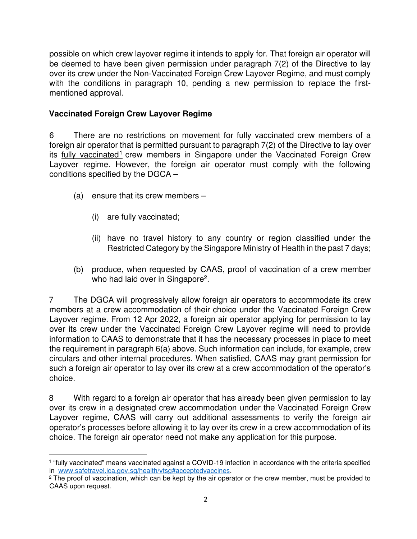possible on which crew layover regime it intends to apply for. That foreign air operator will be deemed to have been given permission under paragraph 7(2) of the Directive to lay over its crew under the Non-Vaccinated Foreign Crew Layover Regime, and must comply with the conditions in paragraph 10, pending a new permission to replace the firstmentioned approval.

# **Vaccinated Foreign Crew Layover Regime**

6 There are no restrictions on movement for fully vaccinated crew members of a foreign air operator that is permitted pursuant to paragraph 7(2) of the Directive to lay over its fully vaccinated<sup>1</sup> crew members in Singapore under the Vaccinated Foreign Crew Layover regime. However, the foreign air operator must comply with the following conditions specified by the DGCA –

- (a) ensure that its crew members
	- (i) are fully vaccinated;
	- (ii) have no travel history to any country or region classified under the Restricted Category by the Singapore Ministry of Health in the past 7 days;
- (b) produce, when requested by CAAS, proof of vaccination of a crew member who had laid over in Singapore<sup>2</sup>.

7 The DGCA will progressively allow foreign air operators to accommodate its crew members at a crew accommodation of their choice under the Vaccinated Foreign Crew Layover regime. From 12 Apr 2022, a foreign air operator applying for permission to lay over its crew under the Vaccinated Foreign Crew Layover regime will need to provide information to CAAS to demonstrate that it has the necessary processes in place to meet the requirement in paragraph 6(a) above. Such information can include, for example, crew circulars and other internal procedures. When satisfied, CAAS may grant permission for such a foreign air operator to lay over its crew at a crew accommodation of the operator's choice.

8 With regard to a foreign air operator that has already been given permission to lay over its crew in a designated crew accommodation under the Vaccinated Foreign Crew Layover regime, CAAS will carry out additional assessments to verify the foreign air operator's processes before allowing it to lay over its crew in a crew accommodation of its choice. The foreign air operator need not make any application for this purpose.

<sup>1</sup> "fully vaccinated" means vaccinated against a COVID-19 infection in accordance with the criteria specified in www.safetravel.ica.gov.sg/health/vtsg#acceptedvaccines.

<sup>&</sup>lt;sup>2</sup> The proof of vaccination, which can be kept by the air operator or the crew member, must be provided to CAAS upon request.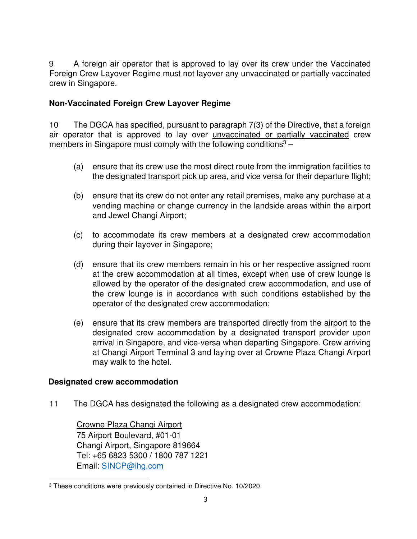9 A foreign air operator that is approved to lay over its crew under the Vaccinated Foreign Crew Layover Regime must not layover any unvaccinated or partially vaccinated crew in Singapore.

### **Non-Vaccinated Foreign Crew Layover Regime**

10 The DGCA has specified, pursuant to paragraph 7(3) of the Directive, that a foreign air operator that is approved to lay over unvaccinated or partially vaccinated crew members in Singapore must comply with the following conditions<sup>3</sup>  $-$ 

- (a) ensure that its crew use the most direct route from the immigration facilities to the designated transport pick up area, and vice versa for their departure flight;
- (b) ensure that its crew do not enter any retail premises, make any purchase at a vending machine or change currency in the landside areas within the airport and Jewel Changi Airport;
- (c) to accommodate its crew members at a designated crew accommodation during their layover in Singapore;
- (d) ensure that its crew members remain in his or her respective assigned room at the crew accommodation at all times, except when use of crew lounge is allowed by the operator of the designated crew accommodation, and use of the crew lounge is in accordance with such conditions established by the operator of the designated crew accommodation;
- (e) ensure that its crew members are transported directly from the airport to the designated crew accommodation by a designated transport provider upon arrival in Singapore, and vice-versa when departing Singapore. Crew arriving at Changi Airport Terminal 3 and laying over at Crowne Plaza Changi Airport may walk to the hotel.

#### **Designated crew accommodation**

11 The DGCA has designated the following as a designated crew accommodation:

Crowne Plaza Changi Airport 75 Airport Boulevard, #01-01 Changi Airport, Singapore 819664 Tel: +65 6823 5300 / 1800 787 1221 Email: SINCP@ihg.com

<sup>3</sup> These conditions were previously contained in Directive No. 10/2020.